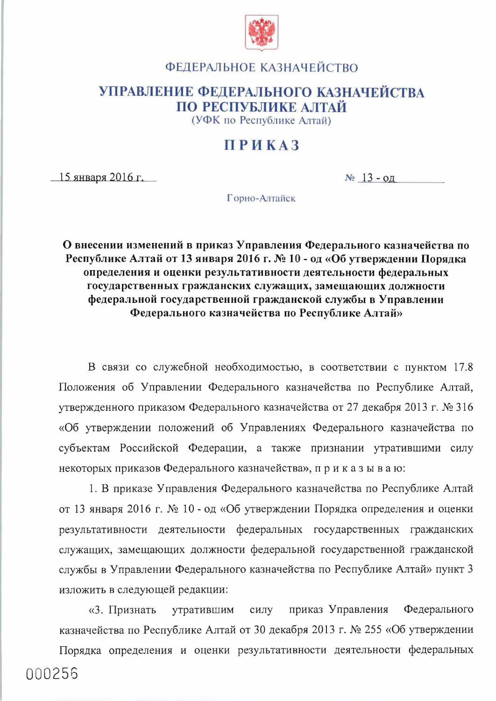

## ФЕДЕРАЛЬНОЕ КАЗНАЧЕЙСТВО

## УПРАВЛЕНИЕ ФЕДЕРАЛЬНОГО КАЗНАЧЕЙСТВА ПО РЕСПУБЛИКЕ АЛТАЙ

(УФК по Республике Алтай)

## **ПРИКАЗ**

 $15$  января 2016 г.

 $N_2$  13 - од

Горно-Алтайск

О внесении изменений в приказ Управления Федерального казначейства по Республике Алтай от 13 января 2016 г. № 10 - од «Об утверждении Порядка определения и оценки результативности деятельности федеральных государственных гражданских служащих, замещающих должности федеральной государственной гражданской службы в Управлении Федерального казначейства по Республике Алтай»

В связи со служебной необходимостью, в соответствии с пунктом 17.8 Положения об Управлении Федерального казначейства по Республике Алтай, утвержденного приказом Федерального казначейства от 27 декабря 2013 г. № 316 «Об утверждении положений об Управлениях Федерального казначейства по субъектам Российской Федерации, а также признании утратившими силу некоторых приказов Федерального казначейства», приказываю:

1. В приказе Управления Федерального казначейства по Республике Алтай от 13 января 2016 г. № 10 - од «Об утверждении Порядка определения и оценки результативности деятельности федеральных государственных гражданских служащих, замещающих должности федеральной государственной гражданской службы в Управлении Федерального казначейства по Республике Алтай» пункт 3 изложить в следующей редакции:

Федерального силу приказ Управления «3. Признать утратившим казначейства по Республике Алтай от 30 декабря 2013 г. № 255 «Об утверждении

Порядка определения и оценки результативности деятельности федеральных 000256